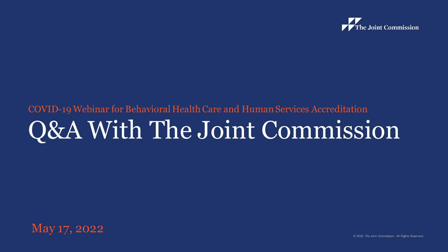

#### COVID-19 Webinar for Behavioral Health Care and Human Services Accreditation Q&A With The Joint Commission



© 2022 The Joint Commission. All Rights Reserved.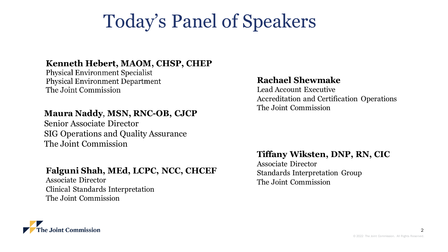## Today's Panel of Speakers

#### Kenneth Hebert, MAOM, CHSP, CHEP

**Physical Environment Specialist Physical Environment Department** The Joint Commission

#### **Maura Naddy**, **MSN, RNC-OB, CJCP**

Senior Associate Director SIG Operations and Quality Assurance The Joint Commission

#### **Falguni Shah, MEd, LCPC, NCC, CHCEF**

Associate Director Clinical Standards Interpretation The Joint Commission

#### **Rachael Shewmake**

Lead Account Executive Accreditation and Certification Operations The Joint Commission

#### **Tiffany Wiksten, DNP, RN, CIC**

Associate Director Standards Interpretation Group The Joint Commission



2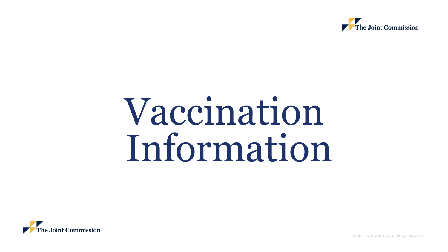

## Vaccination Information



© 2022 The Joint Commission. All Rights Reserved.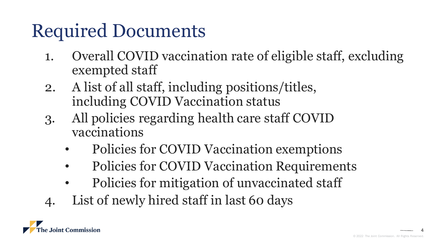## Required Documents

- 1. Overall COVID vaccination rate of eligible staff, excluding exempted staff
- 2. A list of all staff, including positions/titles, including COVID Vaccination status
- 3. All policies regarding health care staff COVID vaccinations
	- Policies for COVID Vaccination exemptions
	- Policies for COVID Vaccination Requirements
	- Policies for mitigation of unvaccinated staff
- 4. List of newly hired staff in last 60 days



4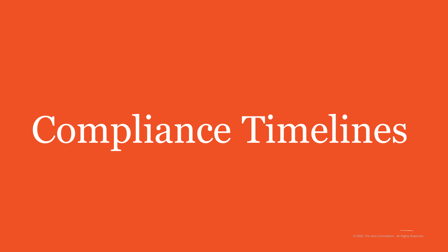## Compliance Timelines

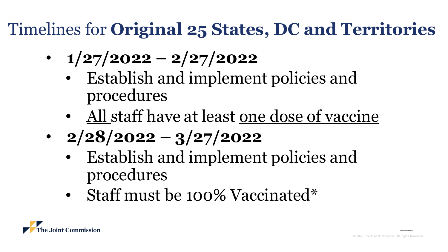#### Timelines for **Original 25 States, DC and Territories**

- **1/27/2022 – 2/27/2022**
	- Establish and implement policies and procedures
	- All staff have at least one dose of vaccine
- **2/28/2022 – 3/27/2022**
	- Establish and implement policies and procedures
	- Staff must be 100% Vaccinated\*

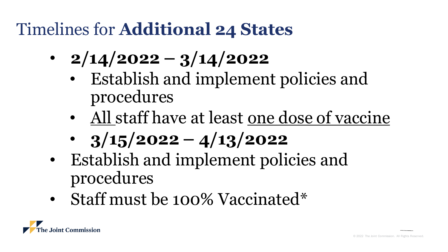#### Timelines for **Additional 24 States**

- **2/14/2022 – 3/14/2022**
	- Establish and implement policies and procedures
	- All staff have at least one dose of vaccine
	- **3/15/2022 – 4/13/2022**
- Establish and implement policies and procedures
- Staff must be 100% Vaccinated\*

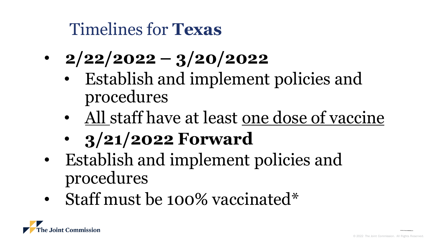#### Timelines for **Texas**

- **2/22/2022 – 3/20/2022**
	- Establish and implement policies and procedures
	- All staff have at least one dose of vaccine
	- **3/21/2022 Forward**
- Establish and implement policies and procedures
- Staff must be 100% vaccinated\*

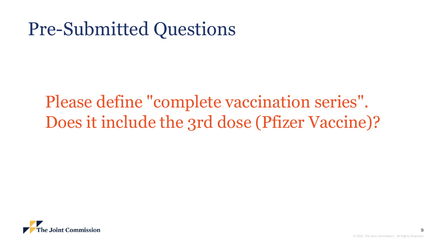#### Please define "complete vaccination series". Does it include the 3rd dose (Pfizer Vaccine)?

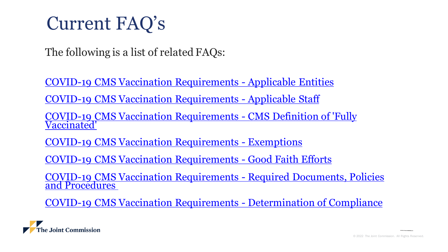#### Current FAQ's

The following is a list of related FAQs:

[COVID-19 CMS Vaccination Requirements -](https://www.jointcommission.org/standards/standard-faqs/hospital-and-hospital-clinics/leadership-ld/000002369/) Applicable Entities [COVID-19 CMS Vaccination Requirements -](https://www.jointcommission.org/standards/standard-faqs/hospital-and-hospital-clinics/leadership-ld/000002370/) Applicable Staff [COVID-19 CMS Vaccination Requirements -](https://www.jointcommission.org/standards/standard-faqs/hospital-and-hospital-clinics/leadership-ld/000002371/) CMS Definition of 'Fully Vaccinated'

[COVID-19 CMS Vaccination Requirements -](https://www.jointcommission.org/standards/standard-faqs/hospital-and-hospital-clinics/leadership-ld/000002372/) Exemptions

[COVID-19 CMS Vaccination Requirements -](https://www.jointcommission.org/standards/standard-faqs/hospital-and-hospital-clinics/leadership-ld/000002373/) Good Faith Efforts

[COVID-19 CMS Vaccination Requirements -](https://www.jointcommission.org/standards/standard-faqs/hospital-and-hospital-clinics/leadership-ld/000002374/) Required Documents, Policies and Procedures

[COVID-19 CMS Vaccination Requirements -](https://www.jointcommission.org/standards/standard-faqs/hospital-and-hospital-clinics/leadership-ld/000002375/) Determination of Compliance

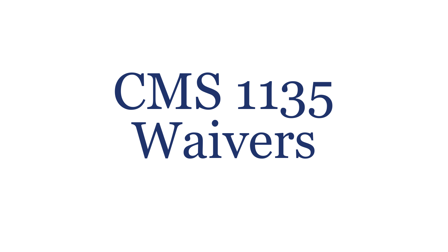# CMS 1135 Waivers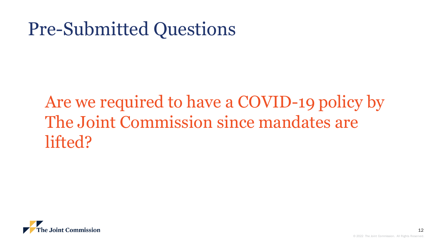#### Are we required to have a COVID-19 policy by The Joint Commission since mandates are lifted?

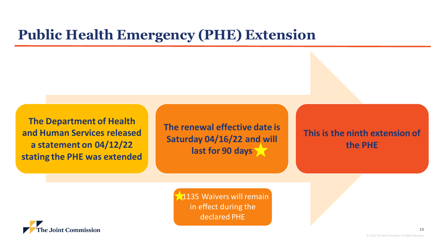#### **Public Health Emergency (PHE) Extension**

**The Department of Health and Human Services released a statement on 04/12/22 stating the PHE was extended**

**The renewal effective date is Saturday 04/16/22 and will last for 90 days**

**This is the ninth extension of the PHE**

**1135 Waivers will remain** in effect during the declared PHE



© 2022 The Joint Commission. All Rights Reserved.

13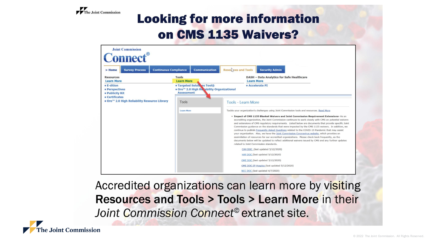

#### **Looking for more information** on CMS 1135 Waivers?

| <b>Continuous Compliance</b><br><b>Survey Process</b><br>> Home                                                                      | <b>Communication</b>                                                                                             | Resources and Tools<br><b>Security Admin</b>                                                                                                                                                                                                                                                                                                                                                                                                                                                                                                                                                                                                                                                                                                                                                                                                                           |
|--------------------------------------------------------------------------------------------------------------------------------------|------------------------------------------------------------------------------------------------------------------|------------------------------------------------------------------------------------------------------------------------------------------------------------------------------------------------------------------------------------------------------------------------------------------------------------------------------------------------------------------------------------------------------------------------------------------------------------------------------------------------------------------------------------------------------------------------------------------------------------------------------------------------------------------------------------------------------------------------------------------------------------------------------------------------------------------------------------------------------------------------|
| <b>Resources</b><br><b>Learn More</b>                                                                                                | <b>Tools</b><br><b>Learn More</b>                                                                                | <b>DASH - Data Analytics for Safe Healthcare</b><br><b>Learn More</b>                                                                                                                                                                                                                                                                                                                                                                                                                                                                                                                                                                                                                                                                                                                                                                                                  |
| • E-dition<br>· Perspectives<br>· Publicity Kit<br><b>• Certificates</b><br>● Oro <sup>™</sup> 2.0 High Reliability Resource Library | <b>. Targeted Solutions Tool®</b><br>● Oro <sup>™</sup> 2.0 High Reliability Organizational<br><b>Assessment</b> | · Accelerate PI                                                                                                                                                                                                                                                                                                                                                                                                                                                                                                                                                                                                                                                                                                                                                                                                                                                        |
|                                                                                                                                      | Tools                                                                                                            | Tools - Learn More                                                                                                                                                                                                                                                                                                                                                                                                                                                                                                                                                                                                                                                                                                                                                                                                                                                     |
|                                                                                                                                      | <b>Learn More</b>                                                                                                | Tackle your organization's challenges using Joint Commission tools and resources. Read More                                                                                                                                                                                                                                                                                                                                                                                                                                                                                                                                                                                                                                                                                                                                                                            |
|                                                                                                                                      |                                                                                                                  | * Impact of CMS 1135 Blanket Waivers and Joint Commission Requirement Extensions- As an<br>accrediting organization, the Joint Commission continues to work closely with CMS on potential waivers<br>and extensions of CMS regulatory requirements. Listed below are documents that provide specific Joint<br>Commission guidance on the standards that were impacted by the CMS 1135 waivers. In addition, we<br>continue to publish Frequently Asked Questions related to the COVID-19 Pandemic that may assist<br>your organization. Also, we have the Joint Commission Coronavirus website, which provides an<br>assimilation of resources for our accredited organizations. Please check back frequently, as the<br>documents below will be updated to reflect additional waivers issued by CMS and any further updates<br>related to Joint Commission standards. |
|                                                                                                                                      |                                                                                                                  | CAH DOC (last updated 5/12/2020)                                                                                                                                                                                                                                                                                                                                                                                                                                                                                                                                                                                                                                                                                                                                                                                                                                       |
|                                                                                                                                      |                                                                                                                  | HAP DOC (last updated 5/12/2020)                                                                                                                                                                                                                                                                                                                                                                                                                                                                                                                                                                                                                                                                                                                                                                                                                                       |
|                                                                                                                                      |                                                                                                                  |                                                                                                                                                                                                                                                                                                                                                                                                                                                                                                                                                                                                                                                                                                                                                                                                                                                                        |
|                                                                                                                                      |                                                                                                                  | OME DOC (last updated 5/12/2020)<br>OME DOC: IP Hospice (last updated 5/12/2020)                                                                                                                                                                                                                                                                                                                                                                                                                                                                                                                                                                                                                                                                                                                                                                                       |

Accredited organizations can learn more by visiting Resources and Tools > Tools > Learn More in their Joint Commission Connect<sup>®</sup> extranet site.

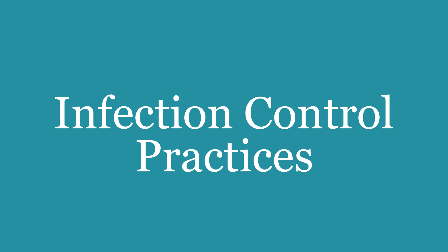## Infection Control Practices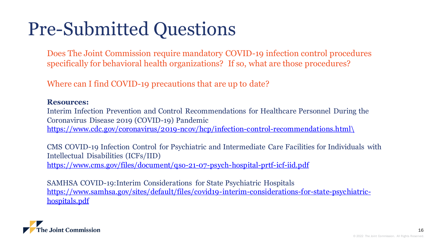Does The Joint Commission require mandatory COVID-19 infection control procedures specifically for behavioral health organizations? If so, what are those procedures?

Where can I find COVID-19 precautions that are up to date?

#### **Resources:**

Interim Infection Prevention and Control Recommendations for Healthcare Personnel During the Coronavirus Disease 2019 (COVID-19) Pandemic

[https://www.cdc.gov/coronavirus/2019-ncov/hcp/infection-control-recommendations.html\](https://www.cdc.gov/coronavirus/2019-ncov/hcp/infection-control-recommendations.html/)

CMS COVID-19 Infection Control for Psychiatric and Intermediate Care Facilities for Individuals with Intellectual Disabilities (ICFs/IID) <https://www.cms.gov/files/document/qso-21-07-psych-hospital-prtf-icf-iid.pdf>

SAMHSA COVID-19:Interim Considerations for State Psychiatric Hospitals [https://www.samhsa.gov/sites/default/files/covid19-interim-considerations-for-state-psychiatric](https://www.samhsa.gov/sites/default/files/covid19-interim-considerations-for-state-psychiatric-hospitals.pdf)hospitals.pdf

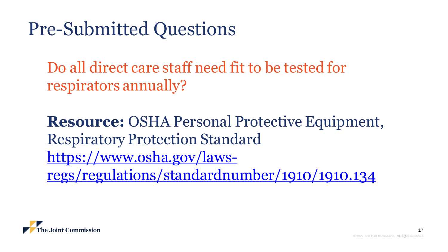Do all direct care staff need fit to be tested for respirators annually?

**Resource:** OSHA Personal Protective Equipment, Respiratory Protection Standard https://www.osha.gov/laws[regs/regulations/standardnumber/1910/1910.134](https://www.osha.gov/laws-regs/regulations/standardnumber/1910/1910.134)

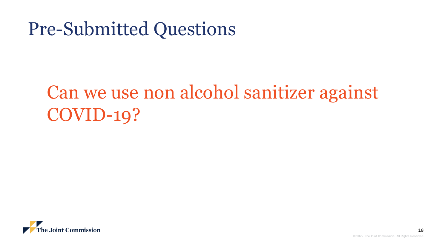## Can we use non alcohol sanitizer against COVID-19?

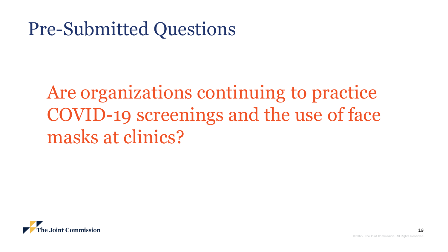Are organizations continuing to practice COVID-19 screenings and the use of face masks at clinics?

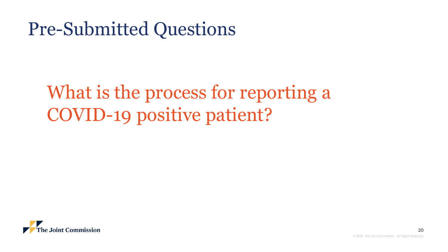## What is the process for reporting a COVID-19 positive patient?

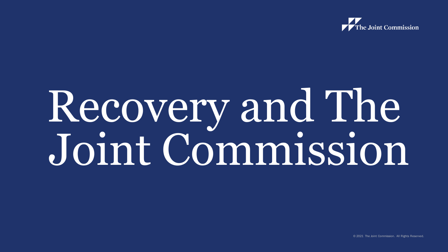

# Recovery and The Joint Commission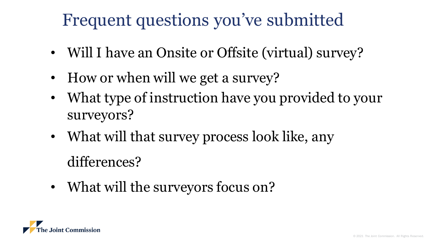#### Frequent questions you've submitted

- Will I have an Onsite or Offsite (virtual) survey?
- How or when will we get a survey?
- What type of instruction have you provided to your surveyors?
- What will that survey process look like, any

differences?

• What will the surveyors focus on?

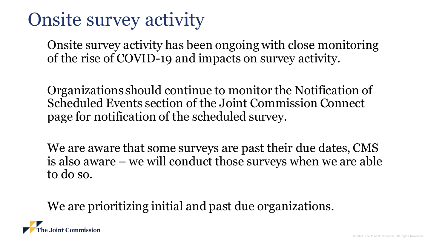#### Onsite survey activity

Onsite survey activity has been ongoing with close monitoring of the rise of COVID-19 and impacts on survey activity.

Organizations should continue to monitor the Notification of Scheduled Events section of the Joint Commission Connect page for notification of the scheduled survey.

We are aware that some surveys are past their due dates, CMS is also aware – we will conduct those surveys when we are able to do so.

We are prioritizing initial and past due organizations.

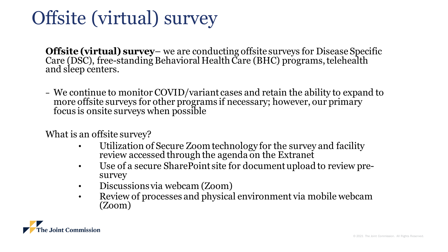## Offsite (virtual) survey

**Offsite (virtual) survey**– we are conducting offsite surveys for Disease Specific Care (DSC), free-standing Behavioral Health Care (BHC) programs, telehealth and sleep centers.

− We continue to monitor COVID/variant cases and retain the ability to expand to more offsite surveys for other programs if necessary; however, our primary focus is onsite surveys when possible

What is an offsite survey?

- Utilization of Secure Zoom technology for the survey and facility review accessed through the agenda on the Extranet
- Use of a secure SharePoint site for document upload to review presurvey
- Discussions via webcam (Zoom)
- Review of processes and physical environment via mobile webcam (Zoom)

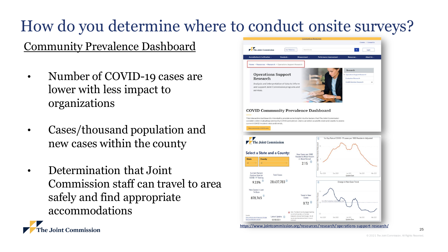#### How do you determine where to conduct onsite surveys?

#### Community Prevalence Dashboard

- Number of COVID-19 cases are lower with less impact to organizations
- Cases/thousand population and new cases within the county
- Determination that Joint Commission staff can travel to area safely and find appropriate accommodations



25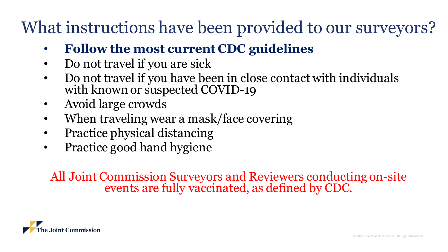#### What instructions have been provided to our surveyors?

- **Follow the most current CDC guidelines**
- Do not travel if you are sick
- Do not travel if you have been in close contact with individuals with known or suspected COVID-19
- Avoid large crowds
- When traveling wear a mask/face covering
- Practice physical distancing
- Practice good hand hygiene

All Joint Commission Surveyors and Reviewers conducting on-site events are fully vaccinated, as defined by CDC.

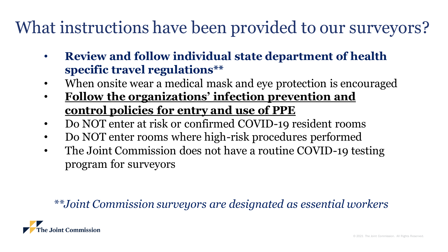#### What instructions have been provided to our surveyors?

- **Review and follow individual state department of health specific travel regulations\*\***
- When onsite wear a medical mask and eye protection is encouraged
- **Follow the organizations' infection prevention and control policies for entry and use of PPE**
- Do NOT enter at risk or confirmed COVID-19 resident rooms
- Do NOT enter rooms where high-risk procedures performed
- The Joint Commission does not have a routine COVID-19 testing program for surveyors

#### *\*\*Joint Commission surveyors are designated as essential workers*

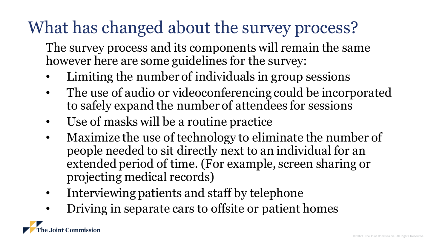#### What has changed about the survey process?

- The survey process and its components will remain the same however here are some guidelines for the survey:
- Limiting the number of individuals in group sessions
- The use of audio or videoconferencing could be incorporated to safely expand the number of attendees for sessions
- Use of masks will be a routine practice
- Maximize the use of technology to eliminate the number of people needed to sit directly next to an individual for an extended period of time. (For example, screen sharing or projecting medical records)
- Interviewing patients and staff by telephone
- Driving in separate cars to offsite or patient homes

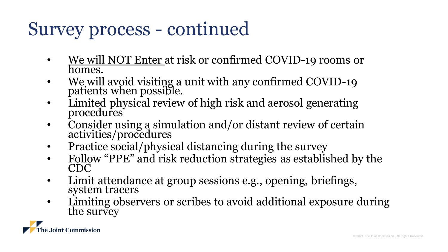## Survey process - continued

- We will NOT Enter at risk or confirmed COVID-19 rooms or homes.
- We will avoid visiting a unit with any confirmed COVID-19 patients when possible.
- Limited physical review of high risk and aerosol generating procedures
- Consider using a simulation and/or distant review of certain activities/procedures
- Practice social/physical distancing during the survey
- Follow "PPE" and risk reduction strategies as established by the CDC
- Limit attendance at group sessions e.g., opening, briefings, system tracers
- Limiting observers or scribes to avoid additional exposure during the survey

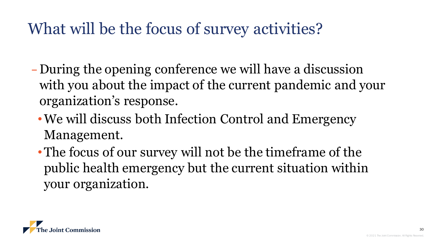#### What will be the focus of survey activities?

- − During the opening conference we will have a discussion with you about the impact of the current pandemic and your organization's response.
	- •We will discuss both Infection Control and Emergency Management.
	- The focus of our survey will not be the timeframe of the public health emergency but the current situation within your organization.



30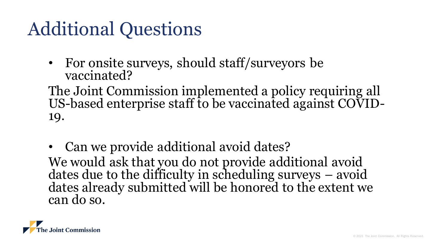### Additional Questions

• For onsite surveys, should staff/surveyors be vaccinated?

The Joint Commission implemented a policy requiring all US-based enterprise staff to be vaccinated against COVID-19.

• Can we provide additional avoid dates? We would ask that you do not provide additional avoid dates due to the difficulty in scheduling surveys – avoid dates already submitted will be honored to the extent we can do so.

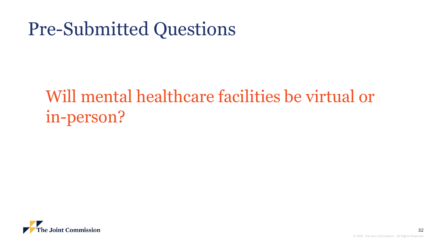#### Will mental healthcare facilities be virtual or in-person?

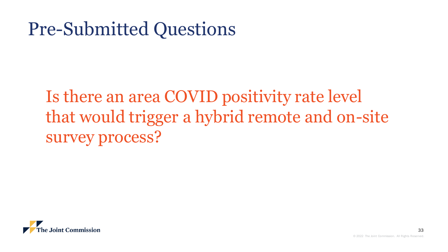Is there an area COVID positivity rate level that would trigger a hybrid remote and on-site survey process?

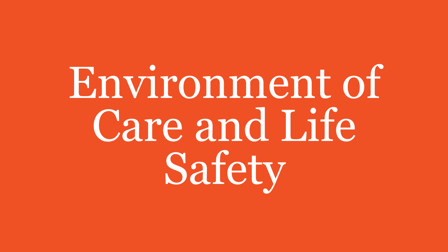Environment of Care and Life Safety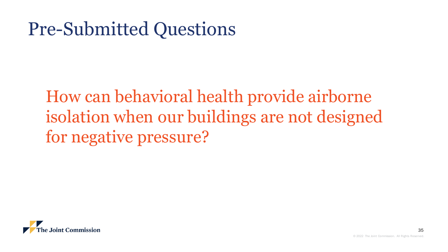How can behavioral health provide airborne isolation when our buildings are not designed for negative pressure?

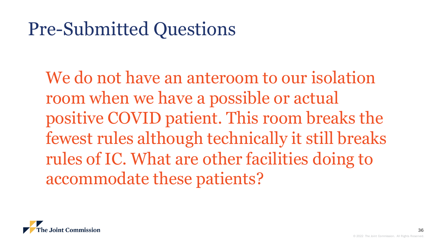We do not have an anteroom to our isolation room when we have a possible or actual positive COVID patient. This room breaks the fewest rules although technically it still breaks rules of IC. What are other facilities doing to accommodate these patients?

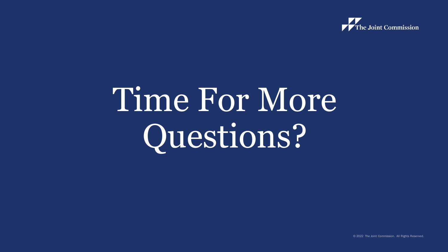

## Time For More Questions?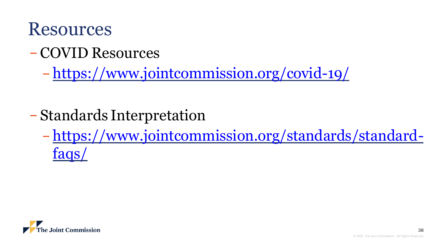

− COVID Resources

− <https://www.jointcommission.org/covid-19/>

- − Standards Interpretation
	- − [https://www.jointcommission.org/standards/standard](https://www.jointcommission.org/standards/standard-faqs/)faqs/